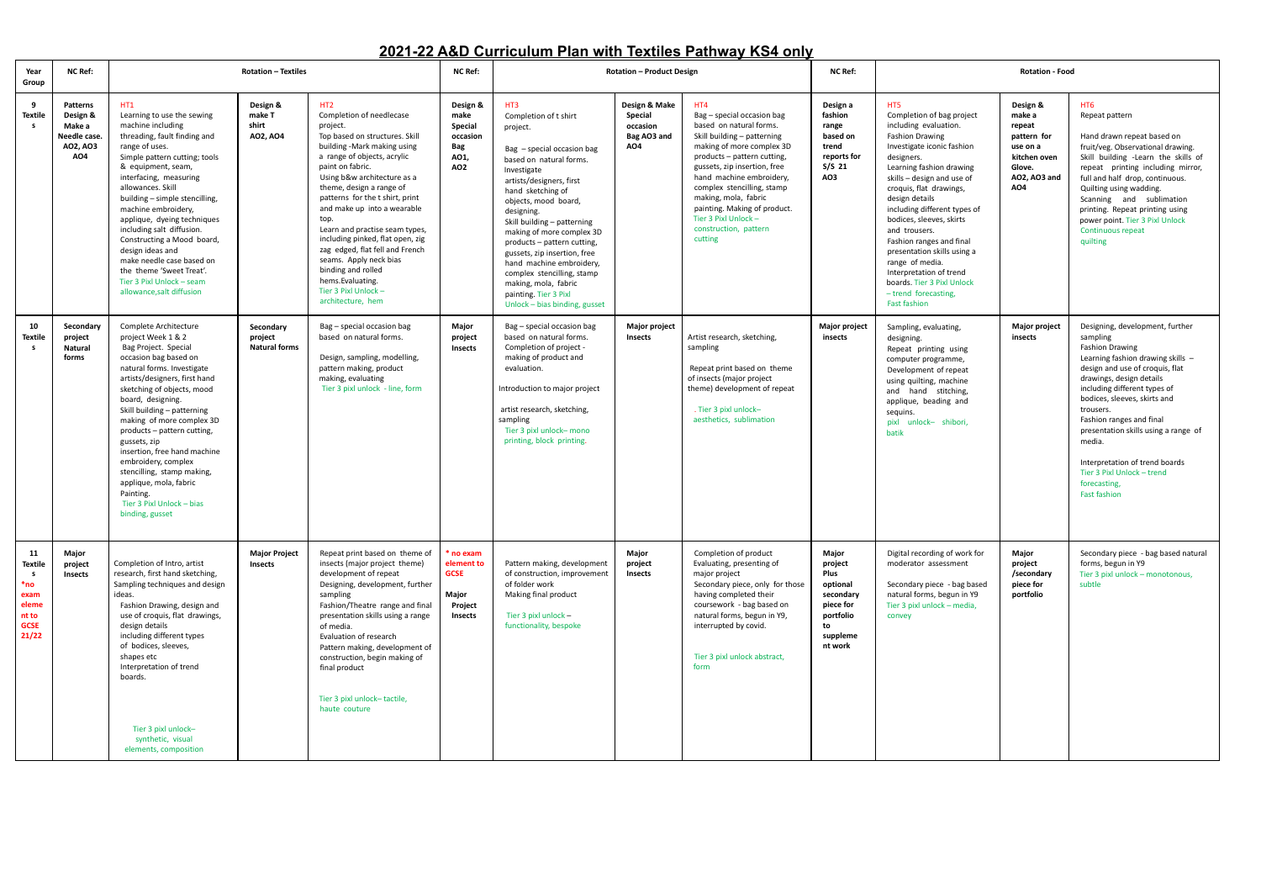## **2021-22 A&D Curriculum Plan with Textiles Pathway KS4 only**

| Year<br>Group                                                                       | <b>NC Ref:</b>                                                                      | <b>Rotation - Textiles</b>                                                                                                                                                                                                                                                                                                                                                                                                                                                                             |                                              |                                                                                                                                                                                                                                                                                                                                                                                                                                                                                                                                 | <b>NC Ref:</b>                                                                   | <b>Rotation - Product Design</b>                                                                                                                                                                                                                                                                                                                                                                                                                                               |                                                            |                                                                                                                                                                                                                                                                                                                                                                       | <b>NC Ref:</b>                                                                                           | <b>Rotation - Food</b>                                                                                                                                                                                                                                                                                                                                                                                                                                                                                                |                                                                                                          |                                                                                                                                                                                                                                                                                                                                                                                                                                             |
|-------------------------------------------------------------------------------------|-------------------------------------------------------------------------------------|--------------------------------------------------------------------------------------------------------------------------------------------------------------------------------------------------------------------------------------------------------------------------------------------------------------------------------------------------------------------------------------------------------------------------------------------------------------------------------------------------------|----------------------------------------------|---------------------------------------------------------------------------------------------------------------------------------------------------------------------------------------------------------------------------------------------------------------------------------------------------------------------------------------------------------------------------------------------------------------------------------------------------------------------------------------------------------------------------------|----------------------------------------------------------------------------------|--------------------------------------------------------------------------------------------------------------------------------------------------------------------------------------------------------------------------------------------------------------------------------------------------------------------------------------------------------------------------------------------------------------------------------------------------------------------------------|------------------------------------------------------------|-----------------------------------------------------------------------------------------------------------------------------------------------------------------------------------------------------------------------------------------------------------------------------------------------------------------------------------------------------------------------|----------------------------------------------------------------------------------------------------------|-----------------------------------------------------------------------------------------------------------------------------------------------------------------------------------------------------------------------------------------------------------------------------------------------------------------------------------------------------------------------------------------------------------------------------------------------------------------------------------------------------------------------|----------------------------------------------------------------------------------------------------------|---------------------------------------------------------------------------------------------------------------------------------------------------------------------------------------------------------------------------------------------------------------------------------------------------------------------------------------------------------------------------------------------------------------------------------------------|
| - 9<br><b>Textile</b><br>s.                                                         | <b>Patterns</b><br>Design &<br>Make a<br>Needle case<br>AO2, AO3<br>AO <sub>4</sub> | HT1<br>Learning to use the sewing<br>machine including<br>threading, fault finding and<br>range of uses.<br>Simple pattern cutting; tools<br>& equipment, seam,<br>interfacing, measuring<br>allowances, Skill<br>building - simple stencilling.<br>machine embroidery,<br>applique, dyeing techniques<br>including salt diffusion.<br>Constructing a Mood board,<br>design ideas and<br>make needle case based on<br>the theme 'Sweet Treat'<br>Tier 3 Pixl Unlock - seam<br>allowance.salt diffusion | Design &<br>make T<br>shirt<br>A02, A04      | HT2<br>Completion of needlecase<br>project.<br>Top based on structures. Skill<br>building -Mark making using<br>a range of objects, acrylic<br>paint on fabric.<br>Using b&w architecture as a<br>theme, design a range of<br>patterns for the t shirt, print<br>and make up into a wearable<br>top.<br>Learn and practise seam types,<br>including pinked, flat open, zig<br>zag edged, flat fell and French<br>seams. Apply neck bias<br>binding and rolled<br>hems. Evaluating.<br>Tier 3 Pixl Unlock -<br>architecture, hem | Design &<br>make<br>Special<br>occasion<br>Bag<br>AO1,<br>AO2                    | HT3<br>Completion of t shirt<br>project.<br>Bag - special occasion bag<br>based on natural forms.<br>Investigate<br>artists/designers. first<br>hand sketching of<br>objects, mood board,<br>designing.<br>Skill building - patterning<br>making of more complex 3D<br>products – pattern cutting,<br>gussets, zip insertion, free<br>hand machine embroidery,<br>complex stencilling, stamp<br>making, mola, fabric<br>painting. Tier 3 Pixl<br>Unlock – bias binding, gusset | Design & Make<br>Special<br>occasion<br>Bag AO3 and<br>AO4 | HT4<br>Bag - special occasion bag<br>based on natural forms.<br>Skill building - patterning<br>making of more complex 3D<br>products – pattern cutting,<br>gussets, zip insertion, free<br>hand machine embroidery,<br>complex stencilling, stamp<br>making, mola, fabric<br>painting. Making of product.<br>Tier 3 Pixl Unlock -<br>construction, pattern<br>cutting | Design a<br>fashion<br>range<br>based on<br>trend<br>reports for<br>S/S <sub>21</sub><br>AO3             | HT <sub>5</sub><br>Completion of bag project<br>including evaluation.<br><b>Fashion Drawing</b><br>Investigate iconic fashion<br>designers.<br>Learning fashion drawing<br>skills – design and use of<br>croquis, flat drawings,<br>design details<br>including different types of<br>bodices, sleeves, skirts<br>and trousers.<br>Fashion ranges and final<br>presentation skills using a<br>range of media.<br>Interpretation of trend<br>boards. Tier 3 Pixl Unlock<br>- trend forecasting,<br><b>Fast fashion</b> | Design &<br>make a<br>repeat<br>pattern for<br>use on a<br>kitchen oven<br>Glove.<br>AO2, AO3 and<br>AO4 | HT6<br>Repeat pattern<br>Hand drawn repeat based on<br>fruit/veg. Observational drawing.<br>Skill building -Learn the skills of<br>repeat printing including mirror,<br>full and half drop, continuous.<br>Quilting using wadding.<br>Scanning and sublimation<br>printing. Repeat printing using<br>power point. Tier 3 Pixl Unlock<br><b>Continuous repeat</b><br>quilting                                                                |
| 10<br><b>Textile</b><br><b>S</b>                                                    | Secondary<br>project<br><b>Natural</b><br>forms                                     | Complete Architecture<br>project Week 1 & 2<br>Bag Project. Special<br>occasion bag based on<br>natural forms. Investigate<br>artists/designers, first hand<br>sketching of objects, mood<br>board, designing.<br>Skill building - patterning<br>making of more complex 3D<br>products – pattern cutting,<br>gussets, zip<br>insertion, free hand machine<br>embroidery, complex<br>stencilling, stamp making,<br>applique, mola, fabric<br>Painting.<br>Tier 3 Pixl Unlock - bias<br>binding, gusset  | Secondary<br>project<br><b>Natural forms</b> | Bag - special occasion bag<br>based on natural forms.<br>Design, sampling, modelling,<br>pattern making, product<br>making, evaluating<br>Tier 3 pixl unlock - line, form                                                                                                                                                                                                                                                                                                                                                       | Major<br>project<br><b>Insects</b>                                               | Bag - special occasion bag<br>based on natural forms.<br>Completion of project -<br>making of product and<br>evaluation.<br>Introduction to major project<br>artist research, sketching,<br>sampling<br>Tier 3 pixl unlock- mono<br>printing, block printing.                                                                                                                                                                                                                  | Major project<br><b>Insects</b>                            | Artist research, sketching,<br>sampling<br>Repeat print based on theme<br>of insects (major project<br>theme) development of repeat<br>. Tier 3 pixl unlock-<br>aesthetics, sublimation                                                                                                                                                                               | Major project<br>insects                                                                                 | Sampling, evaluating,<br>designing.<br>Repeat printing using<br>computer programme,<br>Development of repeat<br>using quilting, machine<br>and hand stitching,<br>applique, beading and<br>sequins.<br>pixl unlock- shibori,<br>batik                                                                                                                                                                                                                                                                                 | <b>Major project</b><br>insects                                                                          | Designing, development, further<br>sampling<br><b>Fashion Drawing</b><br>Learning fashion drawing skills -<br>design and use of croquis, flat<br>drawings, design details<br>including different types of<br>bodices, sleeves, skirts and<br>trousers.<br>Fashion ranges and final<br>presentation skills using a range of<br>media.<br>Interpretation of trend boards<br>Tier 3 Pixl Unlock - trend<br>forecasting,<br><b>Fast fashion</b> |
| 11<br><b>Textile</b><br>- s<br>*no<br>exam<br>elem<br>nt to<br><b>GCSE</b><br>21/22 | Major<br>project<br>Insects                                                         | Completion of Intro, artist<br>research, first hand sketching,<br>Sampling techniques and design<br>ideas.<br>Fashion Drawing, design and<br>use of croquis, flat drawings,<br>design details<br>including different types<br>of bodices, sleeves,<br>shapes etc<br>Interpretation of trend<br>boards.<br>Tier 3 pixl unlock-<br>synthetic, visual<br>elements, composition                                                                                                                            | <b>Major Project</b><br><b>Insects</b>       | Repeat print based on theme of<br>insects (major project theme)<br>development of repeat<br>Designing, development, further<br>sampling<br>Fashion/Theatre range and final<br>presentation skills using a range<br>of media.<br>Evaluation of research<br>Pattern making, development of<br>construction, begin making of<br>final product<br>Tier 3 pixl unlock-tactile,<br>haute couture                                                                                                                                      | <sup>*</sup> no exam<br>element to<br><b>GCSE</b><br>Major<br>Project<br>Insects | Pattern making, development<br>of construction, improvement<br>of folder work<br>Making final product<br>Tier 3 pixl unlock -<br>functionality, bespoke                                                                                                                                                                                                                                                                                                                        | Major<br>project<br><b>Insects</b>                         | Completion of product<br>Evaluating, presenting of<br>major project<br>Secondary piece, only for those<br>having completed their<br>coursework - bag based on<br>natural forms, begun in Y9,<br>interrupted by covid.<br>Tier 3 pixl unlock abstract,<br>form                                                                                                         | Major<br>project<br>Plus<br>optional<br>secondary<br>piece for<br>portfolio<br>to<br>suppleme<br>nt work | Digital recording of work for<br>moderator assessment<br>Secondary piece - bag based<br>natural forms, begun in Y9<br>Tier 3 pixl unlock - media.<br>convey                                                                                                                                                                                                                                                                                                                                                           | Major<br>project<br>/secondary<br>piece for<br>portfolio                                                 | Secondary piece - bag based natural<br>forms, begun in Y9<br>Tier 3 pixl unlock - monotonous,<br>subtle                                                                                                                                                                                                                                                                                                                                     |